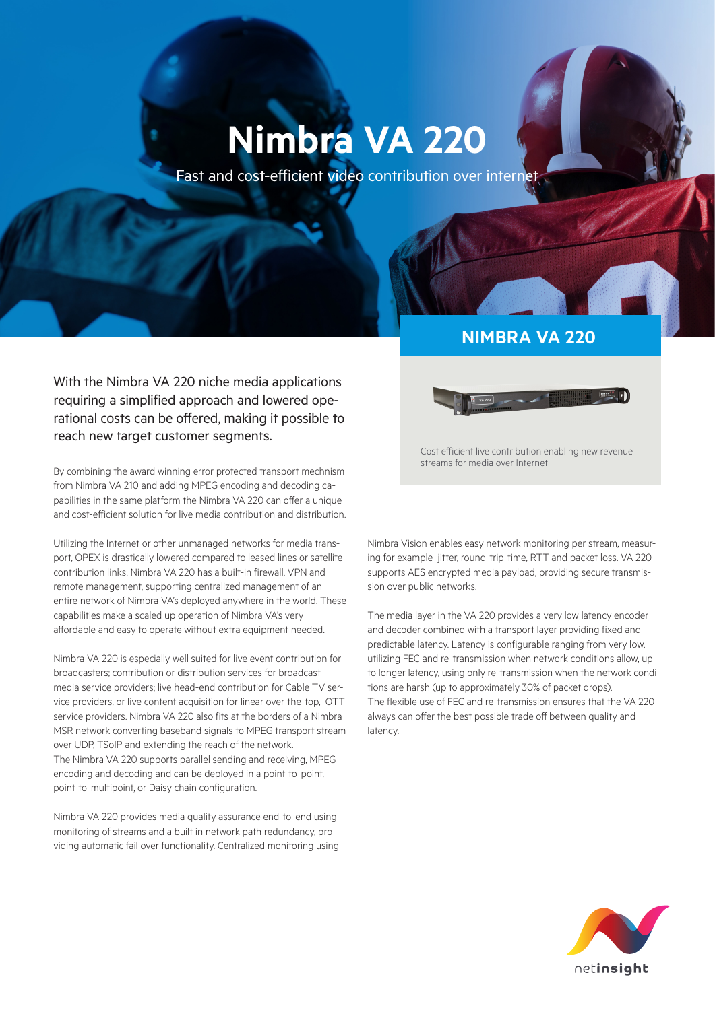# **Nimbra VA 220**

Fast and cost-efficient video contribution over internet

With the Nimbra VA 220 niche media applications requiring a simplified approach and lowered operational costs can be offered, making it possible to reach new target customer segments.

By combining the award winning error protected transport mechnism from Nimbra VA 210 and adding MPEG encoding and decoding capabilities in the same platform the Nimbra VA 220 can offer a unique and cost-efficient solution for live media contribution and distribution.

Utilizing the Internet or other unmanaged networks for media transport, OPEX is drastically lowered compared to leased lines or satellite contribution links. Nimbra VA 220 has a built-in firewall, VPN and remote management, supporting centralized management of an entire network of Nimbra VA's deployed anywhere in the world. These capabilities make a scaled up operation of Nimbra VA's very affordable and easy to operate without extra equipment needed.

Nimbra VA 220 is especially well suited for live event contribution for broadcasters; contribution or distribution services for broadcast media service providers; live head-end contribution for Cable TV service providers, or live content acquisition for linear over-the-top, OTT service providers. Nimbra VA 220 also fits at the borders of a Nimbra MSR network converting baseband signals to MPEG transport stream over UDP, TSoIP and extending the reach of the network. The Nimbra VA 220 supports parallel sending and receiving, MPEG encoding and decoding and can be deployed in a point-to-point, point-to-multipoint, or Daisy chain configuration.

Nimbra VA 220 provides media quality assurance end-to-end using monitoring of streams and a built in network path redundancy, providing automatic fail over functionality. Centralized monitoring using

# **NIMBRA VA 220**



Cost efficient live contribution enabling new revenue streams for media over Internet

Nimbra Vision enables easy network monitoring per stream, measuring for example jitter, round-trip-time, RTT and packet loss. VA 220 supports AES encrypted media payload, providing secure transmission over public networks.

The media layer in the VA 220 provides a very low latency encoder and decoder combined with a transport layer providing fixed and predictable latency. Latency is configurable ranging from very low, utilizing FEC and re-transmission when network conditions allow, up to longer latency, using only re-transmission when the network conditions are harsh (up to approximately 30% of packet drops). The flexible use of FEC and re-transmission ensures that the VA 220 always can offer the best possible trade off between quality and latency.